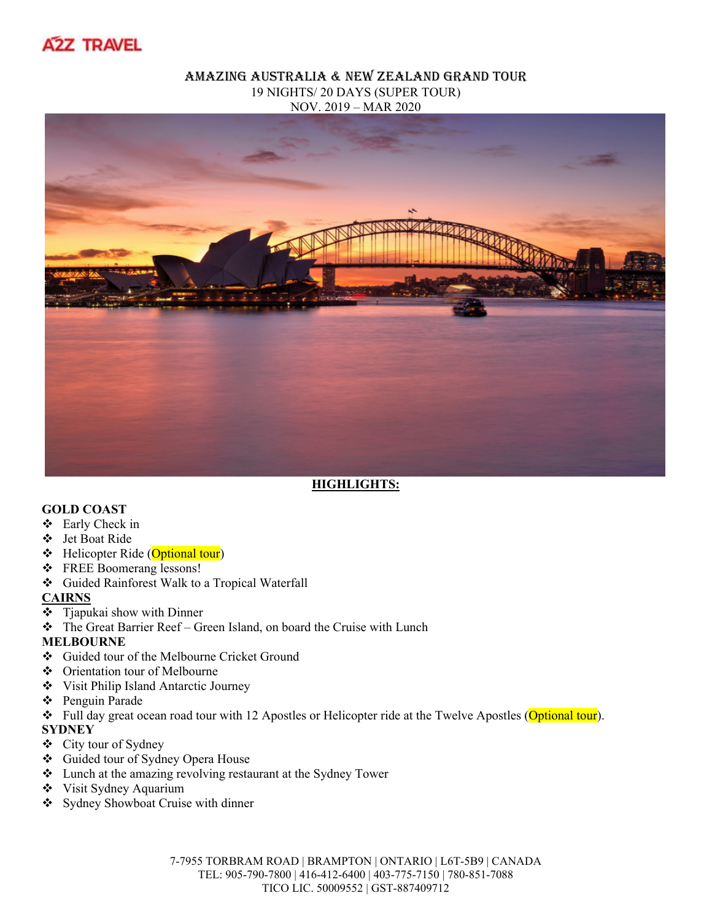

#### Amazing Australia & New Zealand grand tour 19 NIGHTS/ 20 DAYS (SUPER TOUR) NOV. 2019 – MAR 2020



# **HIGHLIGHTS:**

#### **GOLD COAST**

- Early Check in
- Jet Boat Ride
- $\div$  Helicopter Ride (Optional tour)
- FREE Boomerang lessons!
- Guided Rainforest Walk to a Tropical Waterfall

#### **CAIRNS**

- Tjapukai show with Dinner
- The Great Barrier Reef Green Island, on board the Cruise with Lunch

#### **MELBOURNE**

- Guided tour of the Melbourne Cricket Ground
- Orientation tour of Melbourne
- Visit Philip Island Antarctic Journey
- Penguin Parade
- Full day great ocean road tour with 12 Apostles or Helicopter ride at the Twelve Apostles (Optional tour).

# **SYDNEY**

- City tour of Sydney
- Guided tour of Sydney Opera House
- Lunch at the amazing revolving restaurant at the Sydney Tower
- Visit Sydney Aquarium
- ❖ Sydney Showboat Cruise with dinner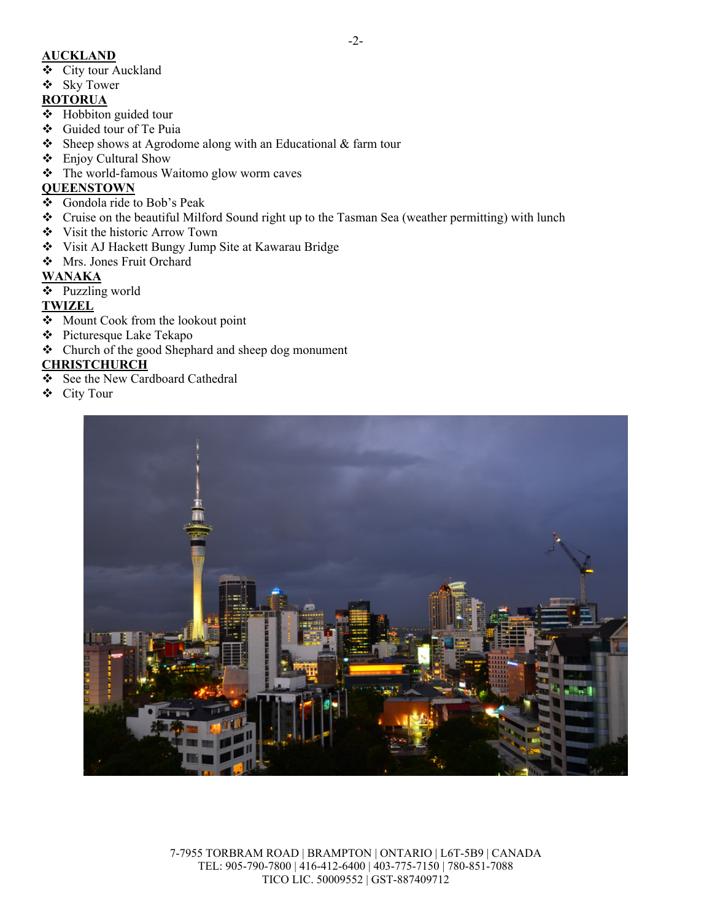### **AUCKLAND**

- City tour Auckland
- Sky Tower

# **ROTORUA**

- Hobbiton guided tour
- Guided tour of Te Puia
- $\triangle$  Sheep shows at Agrodome along with an Educational & farm tour
- Enjoy Cultural Show
- The world-famous Waitomo glow worm caves

# **QUEENSTOWN**

- Gondola ride to Bob's Peak
- Cruise on the beautiful Milford Sound right up to the Tasman Sea (weather permitting) with lunch
- Visit the historic Arrow Town
- Visit AJ Hackett Bungy Jump Site at Kawarau Bridge
- Mrs. Jones Fruit Orchard

# **WANAKA**

Puzzling world

# **TWIZEL**

- ❖ Mount Cook from the lookout point
- Picturesque Lake Tekapo
- Church of the good Shephard and sheep dog monument

# **CHRISTCHURCH**

- See the New Cardboard Cathedral
- City Tour



7-7955 TORBRAM ROAD | BRAMPTON | ONTARIO | L6T-5B9 | CANADA TEL: 905-790-7800 | 416-412-6400 | 403-775-7150 | 780-851-7088 TICO LIC. 50009552 | GST-887409712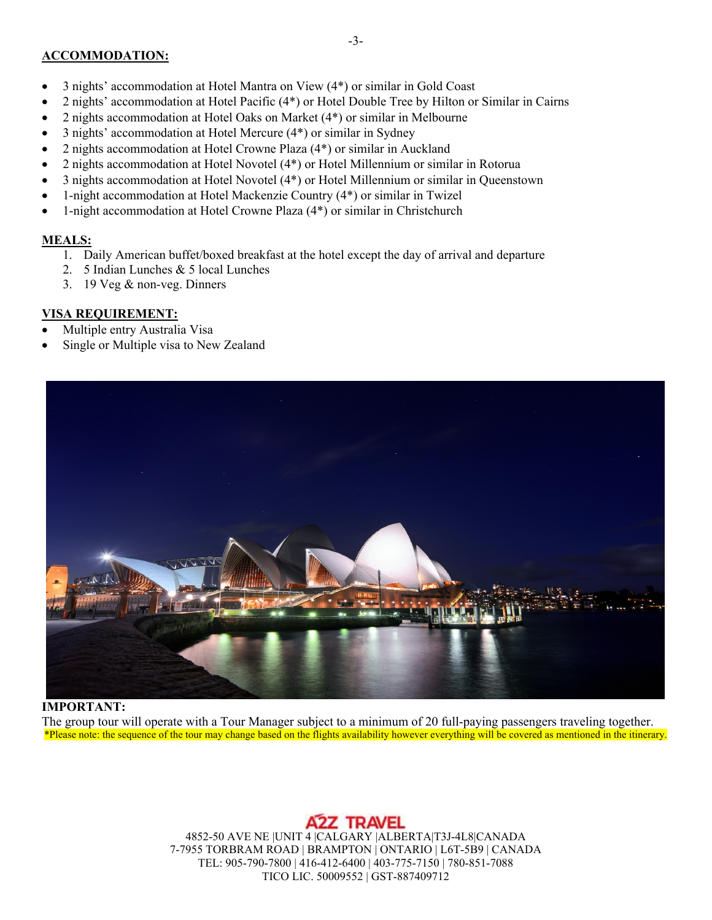#### **ACCOMMODATION:**

- 3 nights' accommodation at Hotel Mantra on View (4\*) or similar in Gold Coast
- 2 nights' accommodation at Hotel Pacific (4\*) or Hotel Double Tree by Hilton or Similar in Cairns
- 2 nights accommodation at Hotel Oaks on Market (4\*) or similar in Melbourne
- 3 nights' accommodation at Hotel Mercure (4\*) or similar in Sydney
- 2 nights accommodation at Hotel Crowne Plaza (4\*) or similar in Auckland
- 2 nights accommodation at Hotel Novotel (4\*) or Hotel Millennium or similar in Rotorua
- 3 nights accommodation at Hotel Novotel (4\*) or Hotel Millennium or similar in Queenstown
- 1-night accommodation at Hotel Mackenzie Country (4\*) or similar in Twizel
- 1-night accommodation at Hotel Crowne Plaza (4\*) or similar in Christchurch

# **MEALS:**

- 1. Daily American buffet/boxed breakfast at the hotel except the day of arrival and departure
- 2. 5 Indian Lunches & 5 local Lunches
- 3. 19 Veg & non-veg. Dinners

# **VISA REQUIREMENT:**

- Multiple entry Australia Visa
- Single or Multiple visa to New Zealand



# **IMPORTANT:**

The group tour will operate with a Tour Manager subject to a minimum of 20 full-paying passengers traveling together. \*Please note: the sequence of the tour may change based on the flights availability however everything will be covered as mentioned in the itinerary.

# **A2Z TRAVEL**

4852-50 AVE NE |UNIT 4 |CALGARY |ALBERTA|T3J-4L8|CANADA 7-7955 TORBRAM ROAD | BRAMPTON | ONTARIO | L6T-5B9 | CANADA TEL: 905-790-7800 | 416-412-6400 | 403-775-7150 | 780-851-7088 TICO LIC. 50009552 | GST-887409712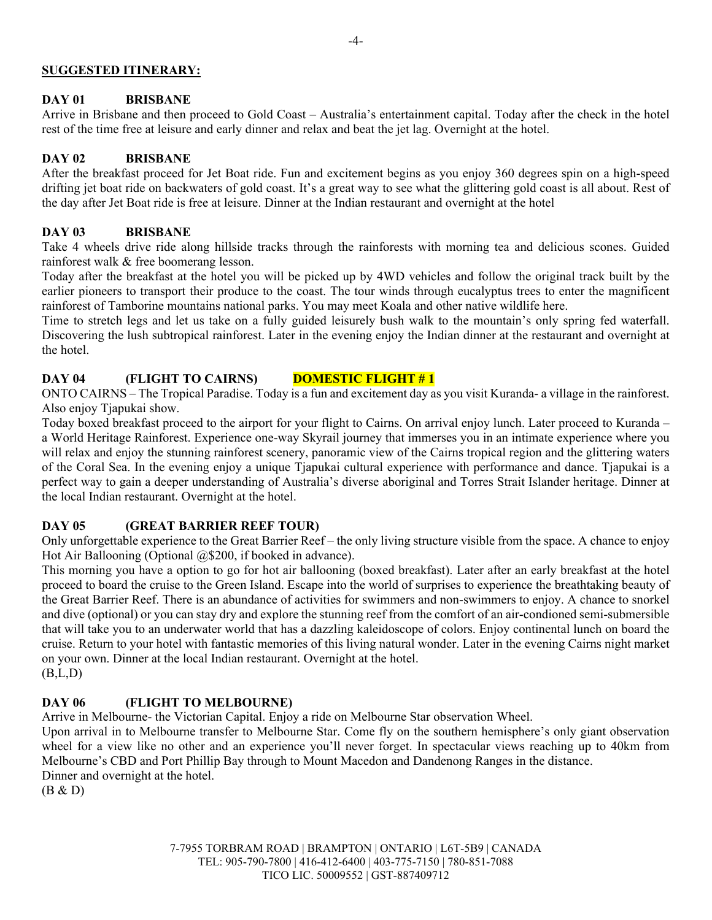#### **SUGGESTED ITINERARY:**

#### **DAY 01 BRISBANE**

Arrive in Brisbane and then proceed to Gold Coast – Australia's entertainment capital. Today after the check in the hotel rest of the time free at leisure and early dinner and relax and beat the jet lag. Overnight at the hotel.

#### **DAY 02 BRISBANE**

After the breakfast proceed for Jet Boat ride. Fun and excitement begins as you enjoy 360 degrees spin on a high-speed drifting jet boat ride on backwaters of gold coast. It's a great way to see what the glittering gold coast is all about. Rest of the day after Jet Boat ride is free at leisure. Dinner at the Indian restaurant and overnight at the hotel

#### **DAY 03 BRISBANE**

Take 4 wheels drive ride along hillside tracks through the rainforests with morning tea and delicious scones. Guided rainforest walk & free boomerang lesson.

Today after the breakfast at the hotel you will be picked up by 4WD vehicles and follow the original track built by the earlier pioneers to transport their produce to the coast. The tour winds through eucalyptus trees to enter the magnificent rainforest of Tamborine mountains national parks. You may meet Koala and other native wildlife here.

Time to stretch legs and let us take on a fully guided leisurely bush walk to the mountain's only spring fed waterfall. Discovering the lush subtropical rainforest. Later in the evening enjoy the Indian dinner at the restaurant and overnight at the hotel.

# DAY 04 **(FLIGHT TO CAIRNS)** DOMESTIC FLIGHT #1

ONTO CAIRNS – The Tropical Paradise. Today is a fun and excitement day as you visit Kuranda- a village in the rainforest. Also enjoy Tjapukai show.

Today boxed breakfast proceed to the airport for your flight to Cairns. On arrival enjoy lunch. Later proceed to Kuranda – a World Heritage Rainforest. Experience one-way Skyrail journey that immerses you in an intimate experience where you will relax and enjoy the stunning rainforest scenery, panoramic view of the Cairns tropical region and the glittering waters of the Coral Sea. In the evening enjoy a unique Tjapukai cultural experience with performance and dance. Tjapukai is a perfect way to gain a deeper understanding of Australia's diverse aboriginal and Torres Strait Islander heritage. Dinner at the local Indian restaurant. Overnight at the hotel.

# **DAY 05 (GREAT BARRIER REEF TOUR)**

Only unforgettable experience to the Great Barrier Reef – the only living structure visible from the space. A chance to enjoy Hot Air Ballooning (Optional @\$200, if booked in advance).

This morning you have a option to go for hot air ballooning (boxed breakfast). Later after an early breakfast at the hotel proceed to board the cruise to the Green Island. Escape into the world of surprises to experience the breathtaking beauty of the Great Barrier Reef. There is an abundance of activities for swimmers and non-swimmers to enjoy. A chance to snorkel and dive (optional) or you can stay dry and explore the stunning reef from the comfort of an air-condioned semi-submersible that will take you to an underwater world that has a dazzling kaleidoscope of colors. Enjoy continental lunch on board the cruise. Return to your hotel with fantastic memories of this living natural wonder. Later in the evening Cairns night market on your own. Dinner at the local Indian restaurant. Overnight at the hotel.  $(B.L,D)$ 

# **DAY 06 (FLIGHT TO MELBOURNE)**

Arrive in Melbourne- the Victorian Capital. Enjoy a ride on Melbourne Star observation Wheel.

Upon arrival in to Melbourne transfer to Melbourne Star. Come fly on the southern hemisphere's only giant observation wheel for a view like no other and an experience you'll never forget. In spectacular views reaching up to 40km from Melbourne's CBD and Port Phillip Bay through to Mount Macedon and Dandenong Ranges in the distance. Dinner and overnight at the hotel.

(B & D)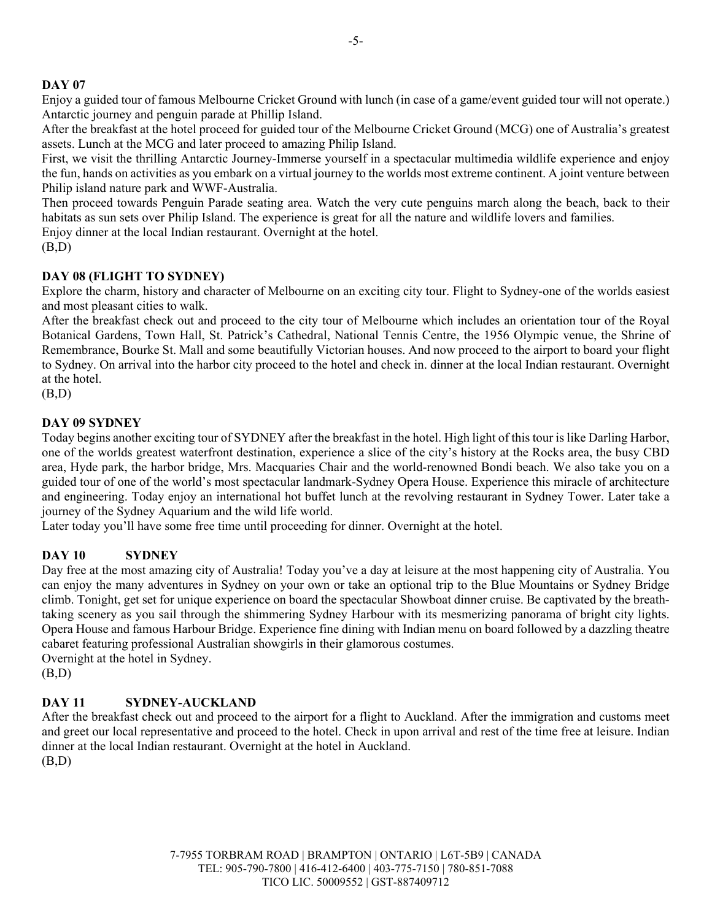Enjoy a guided tour of famous Melbourne Cricket Ground with lunch (in case of a game/event guided tour will not operate.) Antarctic journey and penguin parade at Phillip Island.

After the breakfast at the hotel proceed for guided tour of the Melbourne Cricket Ground (MCG) one of Australia's greatest assets. Lunch at the MCG and later proceed to amazing Philip Island.

First, we visit the thrilling Antarctic Journey-Immerse yourself in a spectacular multimedia wildlife experience and enjoy the fun, hands on activities as you embark on a virtual journey to the worlds most extreme continent. A joint venture between Philip island nature park and WWF-Australia.

Then proceed towards Penguin Parade seating area. Watch the very cute penguins march along the beach, back to their habitats as sun sets over Philip Island. The experience is great for all the nature and wildlife lovers and families.

Enjoy dinner at the local Indian restaurant. Overnight at the hotel.

(B,D)

# **DAY 08 (FLIGHT TO SYDNEY)**

Explore the charm, history and character of Melbourne on an exciting city tour. Flight to Sydney-one of the worlds easiest and most pleasant cities to walk.

After the breakfast check out and proceed to the city tour of Melbourne which includes an orientation tour of the Royal Botanical Gardens, Town Hall, St. Patrick's Cathedral, National Tennis Centre, the 1956 Olympic venue, the Shrine of Remembrance, Bourke St. Mall and some beautifully Victorian houses. And now proceed to the airport to board your flight to Sydney. On arrival into the harbor city proceed to the hotel and check in. dinner at the local Indian restaurant. Overnight at the hotel.

(B,D)

# **DAY 09 SYDNEY**

Today begins another exciting tour of SYDNEY after the breakfast in the hotel. High light of this tour is like Darling Harbor, one of the worlds greatest waterfront destination, experience a slice of the city's history at the Rocks area, the busy CBD area, Hyde park, the harbor bridge, Mrs. Macquaries Chair and the world-renowned Bondi beach. We also take you on a guided tour of one of the world's most spectacular landmark-Sydney Opera House. Experience this miracle of architecture and engineering. Today enjoy an international hot buffet lunch at the revolving restaurant in Sydney Tower. Later take a journey of the Sydney Aquarium and the wild life world.

Later today you'll have some free time until proceeding for dinner. Overnight at the hotel.

# **DAY 10 SYDNEY**

Day free at the most amazing city of Australia! Today you've a day at leisure at the most happening city of Australia. You can enjoy the many adventures in Sydney on your own or take an optional trip to the Blue Mountains or Sydney Bridge climb. Tonight, get set for unique experience on board the spectacular Showboat dinner cruise. Be captivated by the breathtaking scenery as you sail through the shimmering Sydney Harbour with its mesmerizing panorama of bright city lights. Opera House and famous Harbour Bridge. Experience fine dining with Indian menu on board followed by a dazzling theatre cabaret featuring professional Australian showgirls in their glamorous costumes. Overnight at the hotel in Sydney.

(B,D)

# **DAY 11 SYDNEY-AUCKLAND**

After the breakfast check out and proceed to the airport for a flight to Auckland. After the immigration and customs meet and greet our local representative and proceed to the hotel. Check in upon arrival and rest of the time free at leisure. Indian dinner at the local Indian restaurant. Overnight at the hotel in Auckland. (B,D)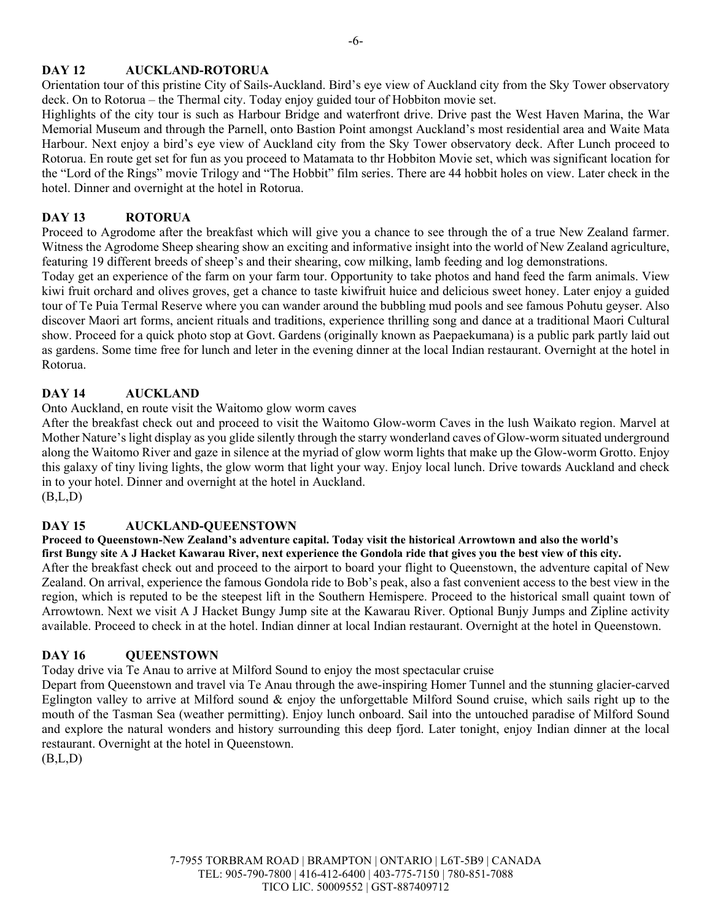# **DAY 12 AUCKLAND-ROTORUA**

Orientation tour of this pristine City of Sails-Auckland. Bird's eye view of Auckland city from the Sky Tower observatory deck. On to Rotorua – the Thermal city. Today enjoy guided tour of Hobbiton movie set.

Highlights of the city tour is such as Harbour Bridge and waterfront drive. Drive past the West Haven Marina, the War Memorial Museum and through the Parnell, onto Bastion Point amongst Auckland's most residential area and Waite Mata Harbour. Next enjoy a bird's eye view of Auckland city from the Sky Tower observatory deck. After Lunch proceed to Rotorua. En route get set for fun as you proceed to Matamata to thr Hobbiton Movie set, which was significant location for the "Lord of the Rings" movie Trilogy and "The Hobbit" film series. There are 44 hobbit holes on view. Later check in the hotel. Dinner and overnight at the hotel in Rotorua.

### **DAY 13 ROTORUA**

Proceed to Agrodome after the breakfast which will give you a chance to see through the of a true New Zealand farmer. Witness the Agrodome Sheep shearing show an exciting and informative insight into the world of New Zealand agriculture, featuring 19 different breeds of sheep's and their shearing, cow milking, lamb feeding and log demonstrations.

Today get an experience of the farm on your farm tour. Opportunity to take photos and hand feed the farm animals. View kiwi fruit orchard and olives groves, get a chance to taste kiwifruit huice and delicious sweet honey. Later enjoy a guided tour of Te Puia Termal Reserve where you can wander around the bubbling mud pools and see famous Pohutu geyser. Also discover Maori art forms, ancient rituals and traditions, experience thrilling song and dance at a traditional Maori Cultural show. Proceed for a quick photo stop at Govt. Gardens (originally known as Paepaekumana) is a public park partly laid out as gardens. Some time free for lunch and leter in the evening dinner at the local Indian restaurant. Overnight at the hotel in Rotorua.

### **DAY 14 AUCKLAND**

Onto Auckland, en route visit the Waitomo glow worm caves

After the breakfast check out and proceed to visit the Waitomo Glow-worm Caves in the lush Waikato region. Marvel at Mother Nature's light display as you glide silently through the starry wonderland caves of Glow-worm situated underground along the Waitomo River and gaze in silence at the myriad of glow worm lights that make up the Glow-worm Grotto. Enjoy this galaxy of tiny living lights, the glow worm that light your way. Enjoy local lunch. Drive towards Auckland and check in to your hotel. Dinner and overnight at the hotel in Auckland.  $(B,L,D)$ 

#### **DAY 15 AUCKLAND-QUEENSTOWN**

**Proceed to Queenstown-New Zealand's adventure capital. Today visit the historical Arrowtown and also the world's first Bungy site A J Hacket Kawarau River, next experience the Gondola ride that gives you the best view of this city.** After the breakfast check out and proceed to the airport to board your flight to Queenstown, the adventure capital of New Zealand. On arrival, experience the famous Gondola ride to Bob's peak, also a fast convenient access to the best view in the region, which is reputed to be the steepest lift in the Southern Hemispere. Proceed to the historical small quaint town of Arrowtown. Next we visit A J Hacket Bungy Jump site at the Kawarau River. Optional Bunjy Jumps and Zipline activity available. Proceed to check in at the hotel. Indian dinner at local Indian restaurant. Overnight at the hotel in Queenstown.

# **DAY 16 QUEENSTOWN**

Today drive via Te Anau to arrive at Milford Sound to enjoy the most spectacular cruise

Depart from Queenstown and travel via Te Anau through the awe-inspiring Homer Tunnel and the stunning glacier-carved Eglington valley to arrive at Milford sound  $\&$  enjoy the unforgettable Milford Sound cruise, which sails right up to the mouth of the Tasman Sea (weather permitting). Enjoy lunch onboard. Sail into the untouched paradise of Milford Sound and explore the natural wonders and history surrounding this deep fjord. Later tonight, enjoy Indian dinner at the local restaurant. Overnight at the hotel in Queenstown.

 $(B,L,D)$